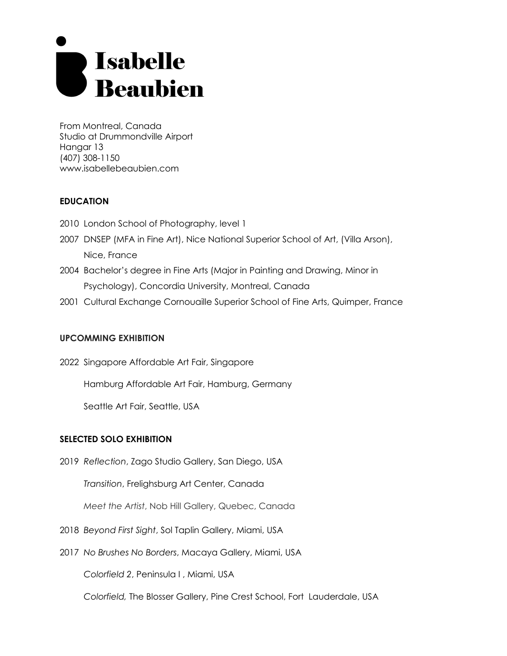# Sabelle<br>Subien

From Montreal, Canada Studio at Drummondville Airport Hangar 13 (407) 308-1150 www.isabellebeaubien.com

# **EDUCATION**

- 2010 London School of Photography, level 1
- 2007 DNSEP (MFA in Fine Art), Nice National Superior School of Art, (Villa Arson), Nice, France
- 2004 Bachelor's degree in Fine Arts (Major in Painting and Drawing, Minor in Psychology), Concordia University, Montreal, Canada
- 2001 Cultural Exchange Cornouaille Superior School of Fine Arts, Quimper, France

## **UPCOMMING EXHIBITION**

2022 Singapore Affordable Art Fair, Singapore

Hamburg Affordable Art Fair, Hamburg, Germany

Seattle Art Fair, Seattle, USA

## **SELECTED SOLO EXHIBITION**

2019 *Reflection*, Zago Studio Gallery, San Diego, USA

*Transition*, Frelighsburg Art Center, Canada

*Meet the Artist*, Nob Hill Gallery, Quebec, Canada

- 2018 *Beyond First Sight*, Sol Taplin Gallery, Miami, USA
- 2017 *No Brushes No Borders*, Macaya Gallery, Miami, USA

*Colorfield 2*, Peninsula I , Miami, USA

 *Colorfield,* The Blosser Gallery, Pine Crest School, Fort Lauderdale, USA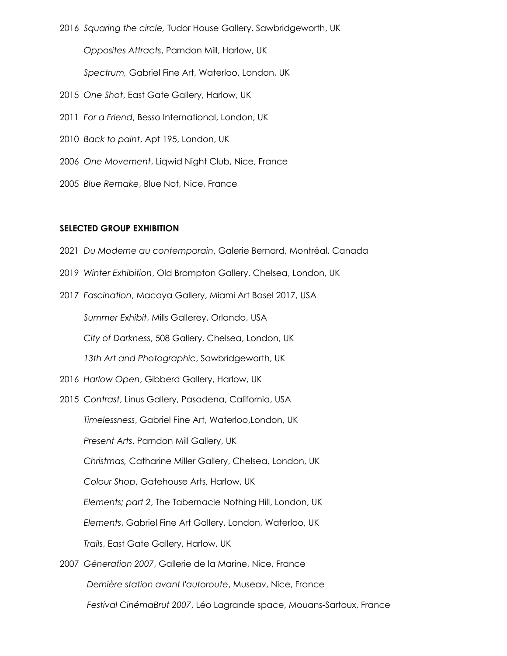- 2016 *Squaring the circle,* Tudor House Gallery, Sawbridgeworth, UK *Opposites Attracts*, Parndon Mill, Harlow, UK *Spectrum,* Gabriel Fine Art, Waterloo, London, UK 2015 *One Shot*, East Gate Gallery, Harlow, UK 2011 *For a Friend*, Besso International, London, UK
- 2010 *Back to paint*, Apt 195, London, UK
- 2006 *One Movement*, Liqwid Night Club, Nice, France
- 2005 *Blue Remake*, Blue Not, Nice, France

#### **SELECTED GROUP EXHIBITION**

- 2021 *Du Moderne au contemporain*, Galerie Bernard, Montréal, Canada
- 2019 *Winter Exhibition*, Old Brompton Gallery, Chelsea, London, UK
- 2017 *Fascination*, Macaya Gallery, Miami Art Basel 2017, USA

 *Summer Exhibit*, Mills Gallerey, Orlando, USA

*City of Darkness*, 508 Gallery, Chelsea, London, UK

*13th Art and Photographic*, Sawbridgeworth, UK

- 2016 *Harlow Open*, Gibberd Gallery, Harlow, UK
- 2015 *Contrast*, Linus Gallery, Pasadena, California, USA  *Timelessness*, Gabriel Fine Art, Waterloo,London, UK *Present Arts*, Parndon Mill Gallery, UK *Christmas,* Catharine Miller Gallery, Chelsea, London, UK  *Colour Shop*, Gatehouse Arts, Harlow, UK *Elements; part 2*, The Tabernacle Nothing Hill, London, UK *Elements*, Gabriel Fine Art Gallery, London, Waterloo, UK *Trails*, East Gate Gallery, Harlow, UK
- 2007 *Géneration 2007*, Gallerie de la Marine, Nice, France *Dernière station avant l'autoroute*, Museav, Nice, France *Festival CinémaBrut 2007*, Léo Lagrande space, Mouans-Sartoux, France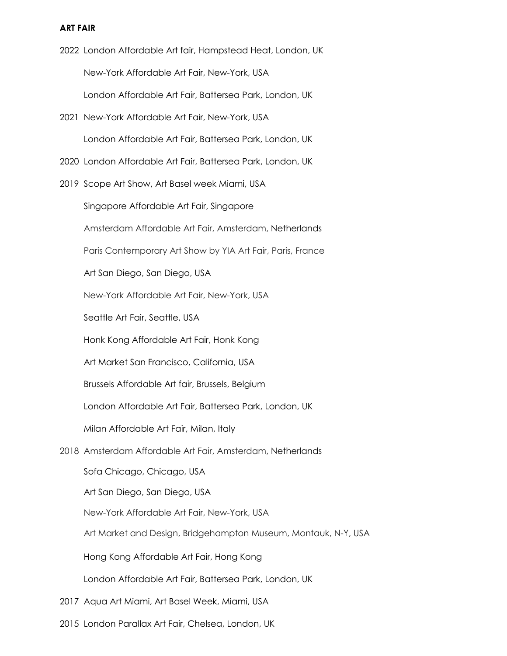### **ART FAIR**

- 2022 London Affordable Art fair, Hampstead Heat, London, UK New-York Affordable Art Fair, New-York, USA London Affordable Art Fair, Battersea Park, London, UK
- 2021 New-York Affordable Art Fair, New-York, USA London Affordable Art Fair, Battersea Park, London, UK
- 2020 London Affordable Art Fair, Battersea Park, London, UK
- 2019 Scope Art Show, Art Basel week Miami, USA

Singapore Affordable Art Fair, Singapore

Amsterdam Affordable Art Fair, Amsterdam, Netherlands

Paris Contemporary Art Show by YIA Art Fair, Paris, France

Art San Diego, San Diego, USA

New-York Affordable Art Fair, New-York, USA

Seattle Art Fair, Seattle, USA

Honk Kong Affordable Art Fair, Honk Kong

Art Market San Francisco, California, USA

Brussels Affordable Art fair, Brussels, Belgium

London Affordable Art Fair, Battersea Park, London, UK

Milan Affordable Art Fair, Milan, Italy

2018 Amsterdam Affordable Art Fair, Amsterdam, Netherlands

 Sofa Chicago, Chicago, USA Art San Diego, San Diego, USA

New-York Affordable Art Fair, New-York, USA

Art Market and Design, Bridgehampton Museum, Montauk, N-Y, USA

Hong Kong Affordable Art Fair, Hong Kong

London Affordable Art Fair, Battersea Park, London, UK

- 2017 Aqua Art Miami, Art Basel Week, Miami, USA
- 2015 London Parallax Art Fair, Chelsea, London, UK